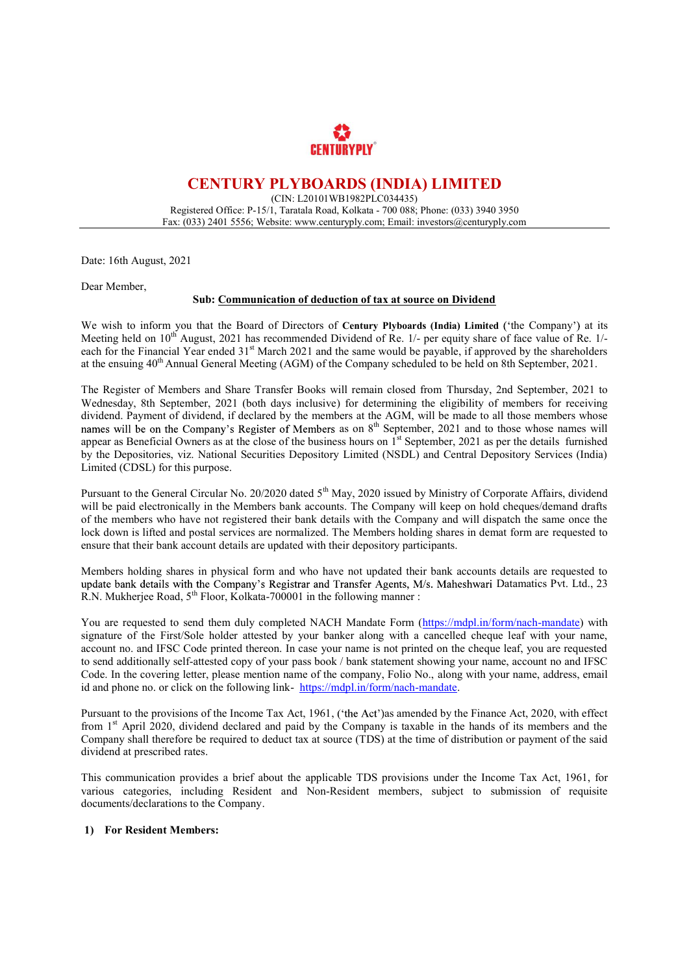

# CENTURY PLYBOARDS (INDIA) LIMITED

(CIN: L20101WB1982PLC034435) Registered Office: P-15/1, Taratala Road, Kolkata - 700 088; Phone: (033) 3940 3950 Fax: (033) 2401 5556; Website: www.centuryply.com; Email: investors@centuryply.com

Date: 16th August, 2021

Dear Member,

### Sub: Communication of deduction of tax at source on Dividend

We wish to inform you that the Board of Directors of Century Plyboards (India) Limited ('the Company') at its Meeting held on 10<sup>th</sup> August, 2021 has recommended Dividend of Re. 1/- per equity share of face value of Re. 1/each for the Financial Year ended 31<sup>st</sup> March 2021 and the same would be payable, if approved by the shareholders at the ensuing 40th Annual General Meeting (AGM) of the Company scheduled to be held on 8th September, 2021.

 The Register of Members and Share Transfer Books will remain closed from Thursday, 2nd September, 2021 to Wednesday, 8th September, 2021 (both days inclusive) for determining the eligibility of members for receiving dividend. Payment of dividend, if declared by the members at the AGM, will be made to all those members whose arriachd: Taylield of arriachd; In declared by the inembers at the Term, while the dark the step whose names will be on the Company's Register of Members as on  $8<sup>th</sup>$  September, 2021 and to those whose names will appear as Beneficial Owners as at the close of the business hours on 1<sup>st</sup> September, 2021 as per the details furnished by the Depositories, viz. National Securities Depository Limited (NSDL) and Central Depository Services (India) Limited (CDSL) for this purpose.

Pursuant to the General Circular No. 20/2020 dated 5<sup>th</sup> May, 2020 issued by Ministry of Corporate Affairs, dividend will be paid electronically in the Members bank accounts. The Company will keep on hold cheques/demand drafts of the members who have not registered their bank details with the Company and will dispatch the same once the lock down is lifted and postal services are normalized. The Members holding shares in demat form are requested to ensure that their bank account details are updated with their depository participants.

Members holding shares in physical form and who have not updated their bank accounts details are requested to update bank details with the Company's Registrar and Transfer Agents, M/s. Maheshwari Datamatics Pvt. Ltd., 23 R.N. Mukherjee Road, 5<sup>th</sup> Floor, Kolkata-700001 in the following manner :

You are requested to send them duly completed NACH Mandate Form (https://mdpl.in/form/nach-mandate) with signature of the First/Sole holder attested by your banker along with a cancelled cheque leaf with your name, account no. and IFSC Code printed thereon. In case your name is not printed on the cheque leaf, you are requested to send additionally self-attested copy of your pass book / bank statement showing your name, account no and IFSC Code. In the covering letter, please mention name of the company, Folio No., along with your name, address, email id and phone no. or click on the following link- https://mdpl.in/form/nach-mandate.<br>Pursuant to the provisions of the Income Tax Act, 1961, ('the Act') as amended by the Finance Act, 2020, with effect

from 1st April 2020, dividend declared and paid by the Company is taxable in the hands of its members and the Company shall therefore be required to deduct tax at source (TDS) at the time of distribution or payment of the said dividend at prescribed rates.

 This communication provides a brief about the applicable TDS provisions under the Income Tax Act, 1961, for various categories, including Resident and Non-Resident members, subject to submission of requisite documents/declarations to the Company.

### 1) For Resident Members: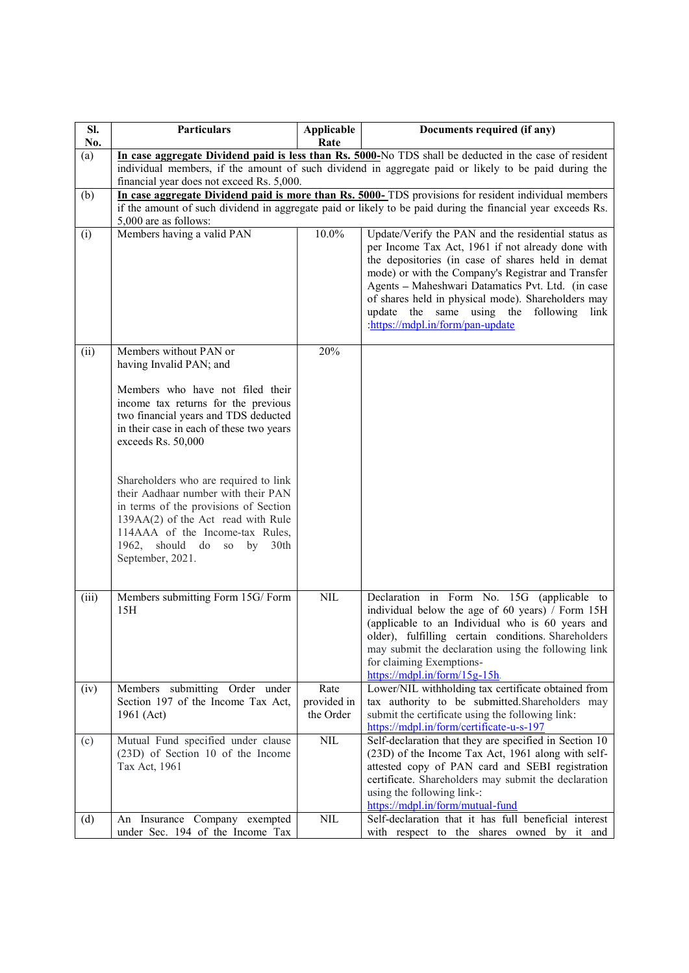| SI.   | <b>Particulars</b>                                                               | Applicable               | Documents required (if any)                                                                                 |
|-------|----------------------------------------------------------------------------------|--------------------------|-------------------------------------------------------------------------------------------------------------|
| No.   |                                                                                  | Rate                     |                                                                                                             |
| (a)   |                                                                                  |                          | In case aggregate Dividend paid is less than Rs. 5000-No TDS shall be deducted in the case of resident      |
|       | financial year does not exceed Rs. 5,000.                                        |                          | individual members, if the amount of such dividend in aggregate paid or likely to be paid during the        |
| (b)   |                                                                                  |                          | In case aggregate Dividend paid is more than Rs. 5000-TDS provisions for resident individual members        |
|       |                                                                                  |                          | if the amount of such dividend in aggregate paid or likely to be paid during the financial year exceeds Rs. |
|       | 5,000 are as follows:                                                            |                          |                                                                                                             |
| (i)   | Members having a valid PAN                                                       | $10.0\%$                 | Update/Verify the PAN and the residential status as                                                         |
|       |                                                                                  |                          | per Income Tax Act, 1961 if not already done with                                                           |
|       |                                                                                  |                          | the depositories (in case of shares held in demat<br>mode) or with the Company's Registrar and Transfer     |
|       |                                                                                  |                          | Agents - Maheshwari Datamatics Pvt. Ltd. (in case                                                           |
|       |                                                                                  |                          | of shares held in physical mode). Shareholders may                                                          |
|       |                                                                                  |                          | update the same using the following link                                                                    |
|       |                                                                                  |                          | :https://mdpl.in/form/pan-update                                                                            |
| (ii)  | Members without PAN or                                                           | 20%                      |                                                                                                             |
|       | having Invalid PAN; and                                                          |                          |                                                                                                             |
|       |                                                                                  |                          |                                                                                                             |
|       | Members who have not filed their                                                 |                          |                                                                                                             |
|       | income tax returns for the previous                                              |                          |                                                                                                             |
|       | two financial years and TDS deducted<br>in their case in each of these two years |                          |                                                                                                             |
|       | exceeds Rs. 50,000                                                               |                          |                                                                                                             |
|       |                                                                                  |                          |                                                                                                             |
|       |                                                                                  |                          |                                                                                                             |
|       | Shareholders who are required to link<br>their Aadhaar number with their PAN     |                          |                                                                                                             |
|       | in terms of the provisions of Section                                            |                          |                                                                                                             |
|       | 139AA(2) of the Act read with Rule                                               |                          |                                                                                                             |
|       | 114AAA of the Income-tax Rules,                                                  |                          |                                                                                                             |
|       | 1962, should do so by 30th<br>September, 2021.                                   |                          |                                                                                                             |
|       |                                                                                  |                          |                                                                                                             |
|       |                                                                                  |                          |                                                                                                             |
| (iii) | Members submitting Form 15G/Form                                                 | NIL                      | Declaration in Form No. 15G (applicable to                                                                  |
|       | 15H                                                                              |                          | individual below the age of 60 years) / Form 15H<br>(applicable to an Individual who is 60 years and        |
|       |                                                                                  |                          | older), fulfilling certain conditions. Shareholders                                                         |
|       |                                                                                  |                          | may submit the declaration using the following link                                                         |
|       |                                                                                  |                          | for claiming Exemptions-                                                                                    |
|       |                                                                                  |                          | $\frac{https://mdpl.in/form/15g-15h}{https://mdpl.in/form/15g-15h}.$                                        |
| (iv)  | Members submitting Order under                                                   | Rate                     | Lower/NIL withholding tax certificate obtained from                                                         |
|       | Section 197 of the Income Tax Act,<br>1961 (Act)                                 | provided in<br>the Order | tax authority to be submitted.Shareholders may<br>submit the certificate using the following link:          |
|       |                                                                                  |                          | https://mdpl.in/form/certificate-u-s-197                                                                    |
| (c)   | Mutual Fund specified under clause                                               | $\mbox{NIL}$             | Self-declaration that they are specified in Section 10                                                      |
|       | (23D) of Section 10 of the Income                                                |                          | (23D) of the Income Tax Act, 1961 along with self-                                                          |
|       | Tax Act, 1961                                                                    |                          | attested copy of PAN card and SEBI registration                                                             |
|       |                                                                                  |                          | certificate. Shareholders may submit the declaration<br>using the following link-:                          |
|       |                                                                                  |                          | https://mdpl.in/form/mutual-fund                                                                            |
| (d)   | An Insurance Company exempted                                                    | $\text{NIL}$             | Self-declaration that it has full beneficial interest                                                       |
|       | under Sec. 194 of the Income Tax                                                 |                          | with respect to the shares owned by it and                                                                  |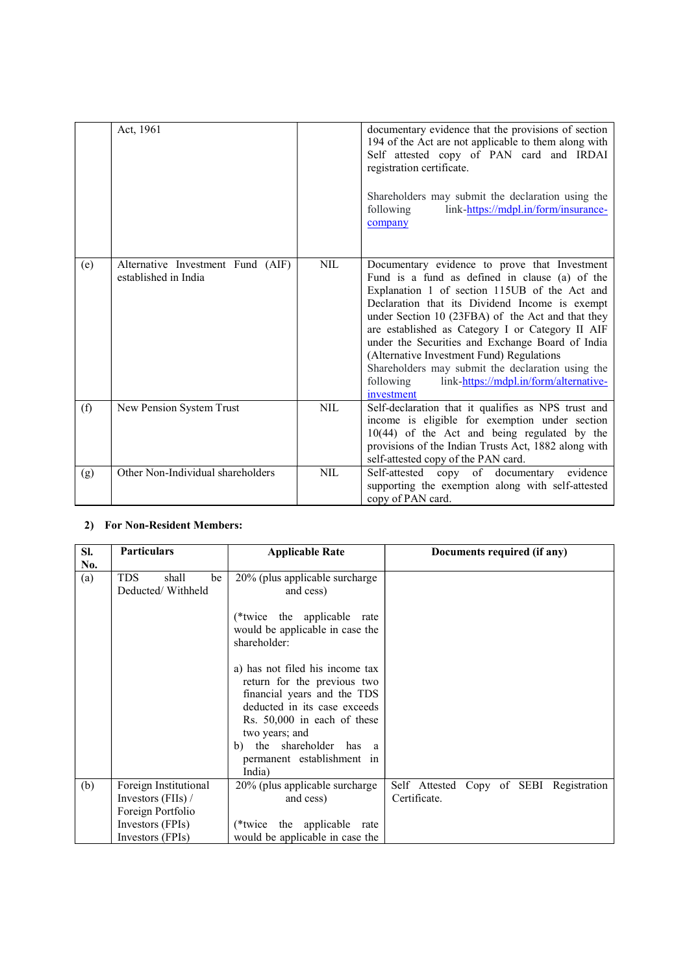|     | Act, 1961                                                 |            | documentary evidence that the provisions of section<br>194 of the Act are not applicable to them along with<br>Self attested copy of PAN card and IRDAI<br>registration certificate.<br>Shareholders may submit the declaration using the<br>link-https://mdpl.in/form/insurance-<br>following<br>company                                                                                                                                                                                                                              |
|-----|-----------------------------------------------------------|------------|----------------------------------------------------------------------------------------------------------------------------------------------------------------------------------------------------------------------------------------------------------------------------------------------------------------------------------------------------------------------------------------------------------------------------------------------------------------------------------------------------------------------------------------|
| (e) | Alternative Investment Fund (AIF)<br>established in India | <b>NIL</b> | Documentary evidence to prove that Investment<br>Fund is a fund as defined in clause (a) of the<br>Explanation 1 of section 115UB of the Act and<br>Declaration that its Dividend Income is exempt<br>under Section 10 (23FBA) of the Act and that they<br>are established as Category I or Category II AIF<br>under the Securities and Exchange Board of India<br>(Alternative Investment Fund) Regulations<br>Shareholders may submit the declaration using the<br>link-https://mdpl.in/form/alternative-<br>following<br>investment |
| (f) | New Pension System Trust                                  | <b>NIL</b> | Self-declaration that it qualifies as NPS trust and<br>income is eligible for exemption under section<br>$10(44)$ of the Act and being regulated by the<br>provisions of the Indian Trusts Act, 1882 along with<br>self-attested copy of the PAN card.                                                                                                                                                                                                                                                                                 |
| (g) | Other Non-Individual shareholders                         | <b>NIL</b> | Self-attested copy of documentary<br>evidence<br>supporting the exemption along with self-attested<br>copy of PAN card.                                                                                                                                                                                                                                                                                                                                                                                                                |

## 2) For Non-Resident Members:

| SI. | <b>Particulars</b>        | <b>Applicable Rate</b>                                                                                                                                                                                                                             | Documents required (if any)             |
|-----|---------------------------|----------------------------------------------------------------------------------------------------------------------------------------------------------------------------------------------------------------------------------------------------|-----------------------------------------|
| No. |                           |                                                                                                                                                                                                                                                    |                                         |
| (a) | <b>TDS</b><br>shall<br>be | 20% (plus applicable surcharge                                                                                                                                                                                                                     |                                         |
|     | Deducted/Withheld         | and cess)                                                                                                                                                                                                                                          |                                         |
|     |                           | (*twice the applicable rate<br>would be applicable in case the<br>shareholder:                                                                                                                                                                     |                                         |
|     |                           | a) has not filed his income tax<br>return for the previous two<br>financial years and the TDS<br>deducted in its case exceeds<br>Rs. 50,000 in each of these<br>two years; and<br>b) the shareholder has a<br>permanent establishment in<br>India) |                                         |
| (b) | Foreign Institutional     | 20% (plus applicable surcharge                                                                                                                                                                                                                     | Self Attested Copy of SEBI Registration |
|     | Investors (FIIs) /        | and cess)                                                                                                                                                                                                                                          | Certificate.                            |
|     | Foreign Portfolio         |                                                                                                                                                                                                                                                    |                                         |
|     | Investors (FPIs)          | (*twice the applicable rate                                                                                                                                                                                                                        |                                         |
|     | Investors (FPIs)          | would be applicable in case the                                                                                                                                                                                                                    |                                         |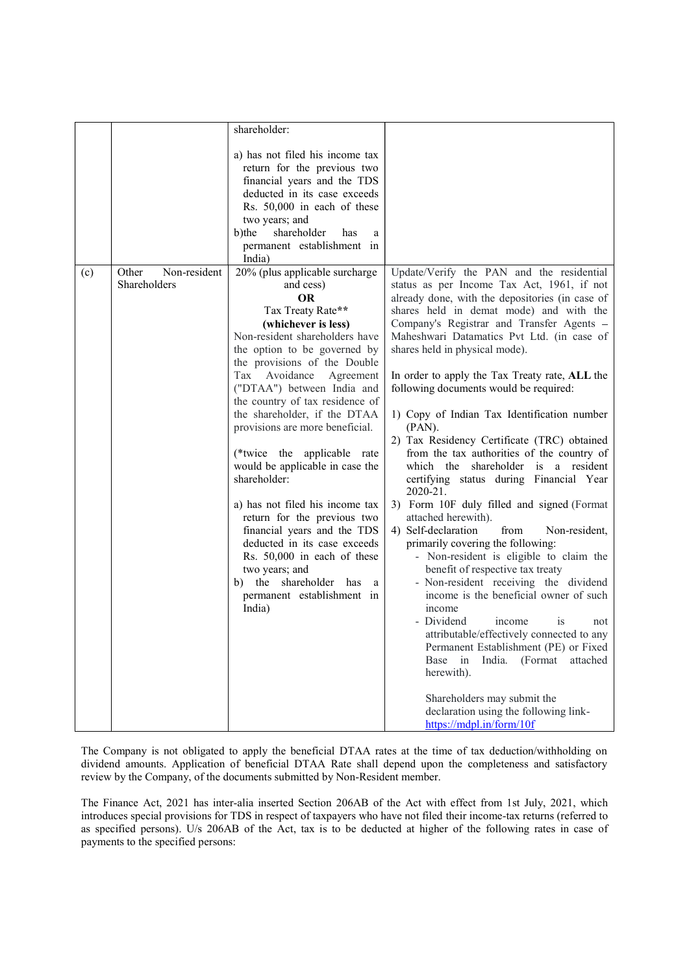|     |                                       | shareholder:                                                                                                                                                                                                                                                                                                                                                                                                                                                                                                                                                                                                                                                                                                  |                                                                                                                                                                                                                                                                                                                                                                                                                                                                                                                                                                                                                                                                                                                                                                                                                                                                                                                                                                                                                                                                                                                                                                                                                               |
|-----|---------------------------------------|---------------------------------------------------------------------------------------------------------------------------------------------------------------------------------------------------------------------------------------------------------------------------------------------------------------------------------------------------------------------------------------------------------------------------------------------------------------------------------------------------------------------------------------------------------------------------------------------------------------------------------------------------------------------------------------------------------------|-------------------------------------------------------------------------------------------------------------------------------------------------------------------------------------------------------------------------------------------------------------------------------------------------------------------------------------------------------------------------------------------------------------------------------------------------------------------------------------------------------------------------------------------------------------------------------------------------------------------------------------------------------------------------------------------------------------------------------------------------------------------------------------------------------------------------------------------------------------------------------------------------------------------------------------------------------------------------------------------------------------------------------------------------------------------------------------------------------------------------------------------------------------------------------------------------------------------------------|
|     |                                       | a) has not filed his income tax<br>return for the previous two<br>financial years and the TDS<br>deducted in its case exceeds<br>Rs. 50,000 in each of these<br>two years; and<br>shareholder<br>b)the<br>has<br>a<br>permanent establishment in<br>India)                                                                                                                                                                                                                                                                                                                                                                                                                                                    |                                                                                                                                                                                                                                                                                                                                                                                                                                                                                                                                                                                                                                                                                                                                                                                                                                                                                                                                                                                                                                                                                                                                                                                                                               |
| (c) | Non-resident<br>Other<br>Shareholders | 20% (plus applicable surcharge<br>and cess)<br><b>OR</b><br>Tax Treaty Rate**<br>(whichever is less)<br>Non-resident shareholders have<br>the option to be governed by<br>the provisions of the Double<br>Tax Avoidance Agreement<br>("DTAA") between India and<br>the country of tax residence of<br>the shareholder, if the DTAA<br>provisions are more beneficial.<br>(*twice the applicable rate<br>would be applicable in case the<br>shareholder:<br>a) has not filed his income tax<br>return for the previous two<br>financial years and the TDS<br>deducted in its case exceeds<br>Rs. 50,000 in each of these<br>two years; and<br>b) the shareholder has a<br>permanent establishment in<br>India) | Update/Verify the PAN and the residential<br>status as per Income Tax Act, 1961, if not<br>already done, with the depositories (in case of<br>shares held in demat mode) and with the<br>Company's Registrar and Transfer Agents -<br>Maheshwari Datamatics Pvt Ltd. (in case of<br>shares held in physical mode).<br>In order to apply the Tax Treaty rate, ALL the<br>following documents would be required:<br>1) Copy of Indian Tax Identification number<br>$(PAN)$ .<br>2) Tax Residency Certificate (TRC) obtained<br>from the tax authorities of the country of<br>which the shareholder is a resident<br>certifying status during Financial Year<br>2020-21.<br>3) Form 10F duly filled and signed (Format<br>attached herewith).<br>4) Self-declaration<br>Non-resident,<br>from<br>primarily covering the following:<br>- Non-resident is eligible to claim the<br>benefit of respective tax treaty<br>- Non-resident receiving the dividend<br>income is the beneficial owner of such<br>income<br>- Dividend<br>income<br><b>1S</b><br>not<br>attributable/effectively connected to any<br>Permanent Establishment (PE) or Fixed<br>Base in India. (Format attached<br>herewith).<br>Shareholders may submit the |
|     |                                       |                                                                                                                                                                                                                                                                                                                                                                                                                                                                                                                                                                                                                                                                                                               | declaration using the following link-<br>https://mdpl.in/form/10f                                                                                                                                                                                                                                                                                                                                                                                                                                                                                                                                                                                                                                                                                                                                                                                                                                                                                                                                                                                                                                                                                                                                                             |

The Company is not obligated to apply the beneficial DTAA rates at the time of tax deduction/withholding on dividend amounts. Application of beneficial DTAA Rate shall depend upon the completeness and satisfactory review by the Company, of the documents submitted by Non-Resident member.

 The Finance Act, 2021 has inter-alia inserted Section 206AB of the Act with effect from 1st July, 2021, which introduces special provisions for TDS in respect of taxpayers who have not filed their income-tax returns (referred to as specified persons). U/s 206AB of the Act, tax is to be deducted at higher of the following rates in case of payments to the specified persons: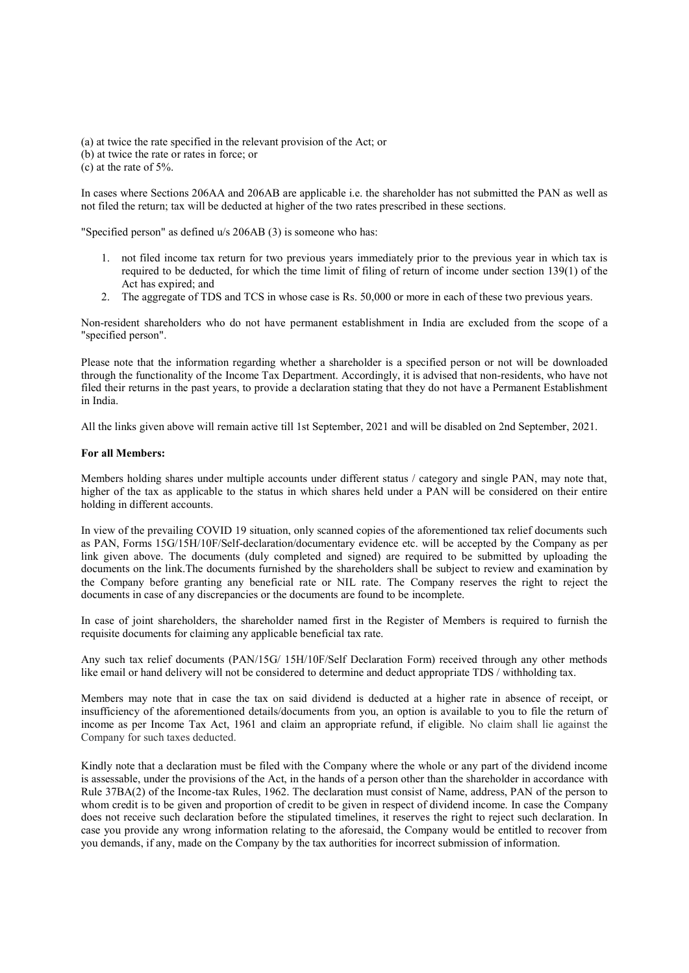(a) at twice the rate specified in the relevant provision of the Act; or (b) at twice the rate or rates in force; or (c) at the rate of 5%.

In cases where Sections 206AA and 206AB are applicable i.e. the shareholder has not submitted the PAN as well as not filed the return; tax will be deducted at higher of the two rates prescribed in these sections.

"Specified person" as defined u/s 206AB (3) is someone who has:

- 1. not filed income tax return for two previous years immediately prior to the previous year in which tax is required to be deducted, for which the time limit of filing of return of income under section 139(1) of the Act has expired; and
- 2. The aggregate of TDS and TCS in whose case is Rs. 50,000 or more in each of these two previous years.

Non-resident shareholders who do not have permanent establishment in India are excluded from the scope of a "specified person".

Please note that the information regarding whether a shareholder is a specified person or not will be downloaded through the functionality of the Income Tax Department. Accordingly, it is advised that non-residents, who have not filed their returns in the past years, to provide a declaration stating that they do not have a Permanent Establishment in India.

All the links given above will remain active till 1st September, 2021 and will be disabled on 2nd September, 2021.

### For all Members:

 Members holding shares under multiple accounts under different status / category and single PAN, may note that, higher of the tax as applicable to the status in which shares held under a PAN will be considered on their entire holding in different accounts.

In view of the prevailing COVID 19 situation, only scanned copies of the aforementioned tax relief documents such as PAN, Forms 15G/15H/10F/Self-declaration/documentary evidence etc. will be accepted by the Company as per link given above. The documents (duly completed and signed) are required to be submitted by uploading the documents on the link.The documents furnished by the shareholders shall be subject to review and examination by the Company before granting any beneficial rate or NIL rate. The Company reserves the right to reject the documents in case of any discrepancies or the documents are found to be incomplete.

In case of joint shareholders, the shareholder named first in the Register of Members is required to furnish the requisite documents for claiming any applicable beneficial tax rate.

Any such tax relief documents (PAN/15G/ 15H/10F/Self Declaration Form) received through any other methods like email or hand delivery will not be considered to determine and deduct appropriate TDS / withholding tax.

 Members may note that in case the tax on said dividend is deducted at a higher rate in absence of receipt, or insufficiency of the aforementioned details/documents from you, an option is available to you to file the return of income as per Income Tax Act, 1961 and claim an appropriate refund, if eligible. No claim shall lie against the Company for such taxes deducted.

Kindly note that a declaration must be filed with the Company where the whole or any part of the dividend income is assessable, under the provisions of the Act, in the hands of a person other than the shareholder in accordance with Rule 37BA(2) of the Income-tax Rules, 1962. The declaration must consist of Name, address, PAN of the person to whom credit is to be given and proportion of credit to be given in respect of dividend income. In case the Company does not receive such declaration before the stipulated timelines, it reserves the right to reject such declaration. In case you provide any wrong information relating to the aforesaid, the Company would be entitled to recover from you demands, if any, made on the Company by the tax authorities for incorrect submission of information.